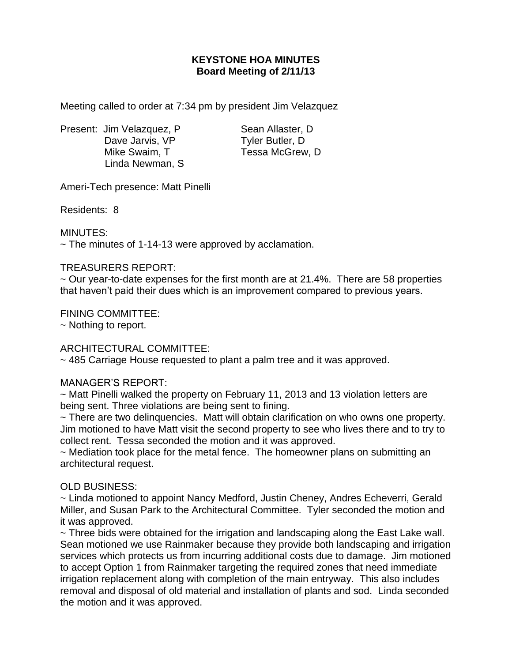# **KEYSTONE HOA MINUTES Board Meeting of 2/11/13**

Meeting called to order at 7:34 pm by president Jim Velazquez

Present: Jim Velazquez, P Sean Allaster, D Dave Jarvis, VP Tyler Butler, D Mike Swaim, T Tessa McGrew, D Linda Newman, S

Ameri-Tech presence: Matt Pinelli

Residents: 8

MINUTES:

 $\sim$  The minutes of 1-14-13 were approved by acclamation.

### TREASURERS REPORT:

 $\sim$  Our year-to-date expenses for the first month are at 21.4%. There are 58 properties that haven't paid their dues which is an improvement compared to previous years.

### FINING COMMITTEE:

~ Nothing to report.

## ARCHITECTURAL COMMITTEE:

~ 485 Carriage House requested to plant a palm tree and it was approved.

#### MANAGER'S REPORT:

~ Matt Pinelli walked the property on February 11, 2013 and 13 violation letters are being sent. Three violations are being sent to fining.

~ There are two delinquencies. Matt will obtain clarification on who owns one property. Jim motioned to have Matt visit the second property to see who lives there and to try to collect rent. Tessa seconded the motion and it was approved.

~ Mediation took place for the metal fence. The homeowner plans on submitting an architectural request.

## OLD BUSINESS:

~ Linda motioned to appoint Nancy Medford, Justin Cheney, Andres Echeverri, Gerald Miller, and Susan Park to the Architectural Committee. Tyler seconded the motion and it was approved.

~ Three bids were obtained for the irrigation and landscaping along the East Lake wall. Sean motioned we use Rainmaker because they provide both landscaping and irrigation services which protects us from incurring additional costs due to damage. Jim motioned to accept Option 1 from Rainmaker targeting the required zones that need immediate irrigation replacement along with completion of the main entryway. This also includes removal and disposal of old material and installation of plants and sod. Linda seconded the motion and it was approved.